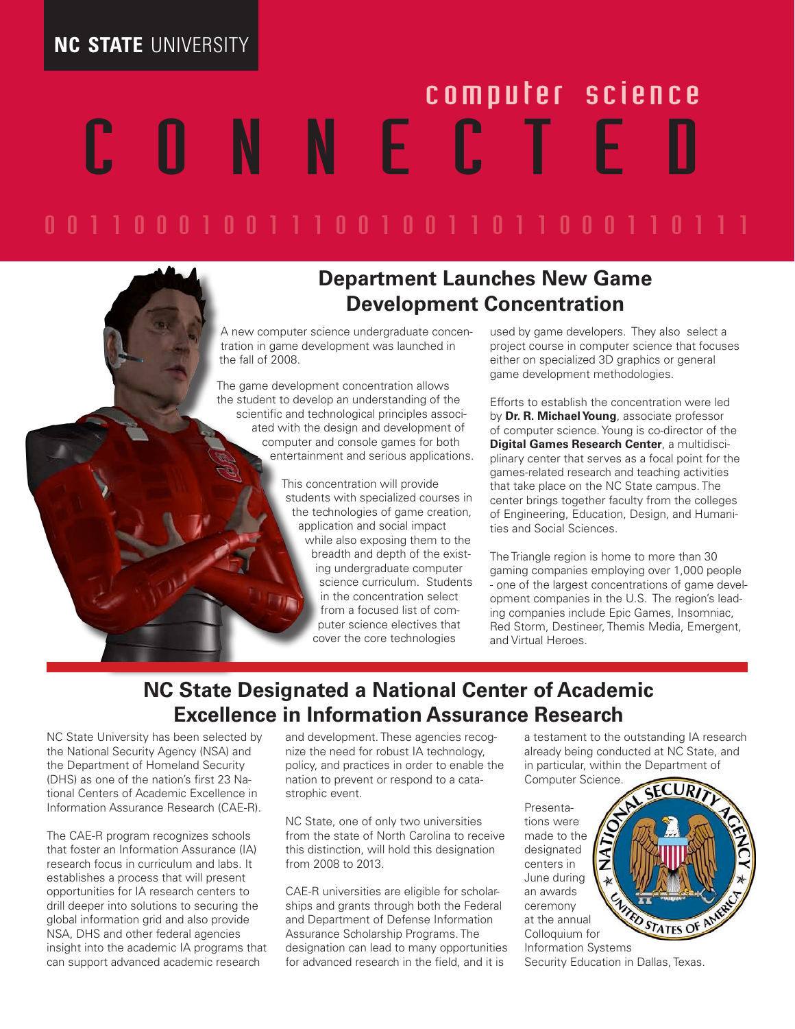## **NC STATE** UNIVERSITY

# N N E C T E computer science

0 0 1 1 0 0 0 1 0 0 1 1 1 0 0 1 0 0 1 1 0 1 1 0 0 0 1 1 0 1 1 1 1

#### **Department Launches New Game Development Concentration**

A new computer science undergraduate concentration in game development was launched in the fall of 2008.

The game development concentration allows the student to develop an understanding of the scientific and technological principles associated with the design and development of computer and console games for both entertainment and serious applications.

> This concentration will provide students with specialized courses in the technologies of game creation, application and social impact while also exposing them to the breadth and depth of the existing undergraduate computer science curriculum. Students in the concentration select from a focused list of computer science electives that cover the core technologies

used by game developers. They also select a project course in computer science that focuses either on specialized 3D graphics or general game development methodologies.

Efforts to establish the concentration were led by **Dr. R. Michael Young**, associate professor of computer science. Young is co-director of the **Digital Games Research Center**, a multidisciplinary center that serves as a focal point for the games-related research and teaching activities that take place on the NC State campus. The center brings together faculty from the colleges of Engineering, Education, Design, and Humanities and Social Sciences.

The Triangle region is home to more than 30 gaming companies employing over 1,000 people - one of the largest concentrations of game development companies in the U.S. The region's leading companies include Epic Games, Insomniac, Red Storm, Destineer, Themis Media, Emergent, and Virtual Heroes.

#### **NC State Designated a National Center of Academic Excellence in Information Assurance Research**

NC State University has been selected by the National Security Agency (NSA) and the Department of Homeland Security (DHS) as one of the nation's first 23 National Centers of Academic Excellence in Information Assurance Research (CAE-R).

The CAE-R program recognizes schools that foster an Information Assurance (IA) research focus in curriculum and labs. It establishes a process that will present opportunities for IA research centers to drill deeper into solutions to securing the global information grid and also provide NSA, DHS and other federal agencies insight into the academic IA programs that can support advanced academic research

and development. These agencies recognize the need for robust IA technology, policy, and practices in order to enable the nation to prevent or respond to a catastrophic event.

NC State, one of only two universities from the state of North Carolina to receive this distinction, will hold this designation from 2008 to 2013.

CAE-R universities are eligible for scholarships and grants through both the Federal and Department of Defense Information Assurance Scholarship Programs. The designation can lead to many opportunities for advanced research in the field, and it is

a testament to the outstanding IA research already being conducted at NC State, and in particular, within the Department of

Computer Science.

Presentations were made to the designated centers in June during an awards ceremony at the annual Colloquium for



Security Education in Dallas, Texas.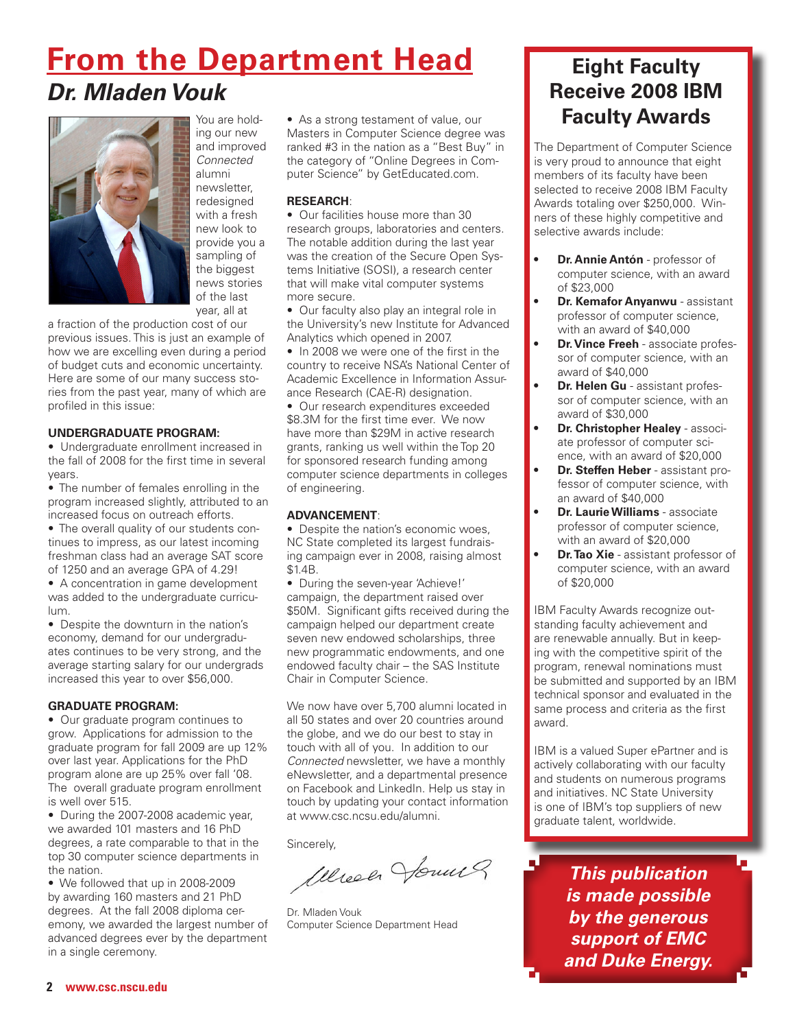# **From the Department Head** *Dr. Mladen Vouk*



You are holding our new and improved *Connected* alumni newsletter, redesigned with a fresh new look to provide you a sampling of the biggest news stories of the last year, all at

a fraction of the production cost of our previous issues. This is just an example of how we are excelling even during a period of budget cuts and economic uncertainty. Here are some of our many success stories from the past year, many of which are profiled in this issue:

#### **UNDERGRADUATE PROGRAM:**

• Undergraduate enrollment increased in the fall of 2008 for the first time in several years.

• The number of females enrolling in the program increased slightly, attributed to an increased focus on outreach efforts.

• The overall quality of our students continues to impress, as our latest incoming freshman class had an average SAT score of 1250 and an average GPA of 4.29!

• A concentration in game development was added to the undergraduate curriculum.

• Despite the downturn in the nation's economy, demand for our undergraduates continues to be very strong, and the average starting salary for our undergrads increased this year to over \$56,000.

#### **GRADUATE PROGRAM:**

• Our graduate program continues to grow. Applications for admission to the graduate program for fall 2009 are up 12% over last year. Applications for the PhD program alone are up 25% over fall '08. The overall graduate program enrollment is well over 515.

• During the 2007-2008 academic year, we awarded 101 masters and 16 PhD degrees, a rate comparable to that in the top 30 computer science departments in the nation.

• We followed that up in 2008-2009 by awarding 160 masters and 21 PhD degrees. At the fall 2008 diploma ceremony, we awarded the largest number of advanced degrees ever by the department in a single ceremony.

• As a strong testament of value, our Masters in Computer Science degree was ranked #3 in the nation as a "Best Buy" in the category of "Online Degrees in Computer Science" by GetEducated.com.

#### **RESEARCH**:

• Our facilities house more than 30 research groups, laboratories and centers. The notable addition during the last year was the creation of the Secure Open Systems Initiative (SOSI), a research center that will make vital computer systems more secure.

• Our faculty also play an integral role in the University's new Institute for Advanced Analytics which opened in 2007.

• In 2008 we were one of the first in the country to receive NSA's National Center of Academic Excellence in Information Assurance Research (CAE-R) designation.

• Our research expenditures exceeded \$8.3M for the first time ever. We now have more than \$29M in active research grants, ranking us well within the Top 20 for sponsored research funding among computer science departments in colleges of engineering.

#### **ADVANCEMENT**:

• Despite the nation's economic woes. NC State completed its largest fundraising campaign ever in 2008, raising almost \$1.4B.

• During the seven-year 'Achieve!' campaign, the department raised over \$50M. Significant gifts received during the campaign helped our department create seven new endowed scholarships, three new programmatic endowments, and one endowed faculty chair – the SAS Institute Chair in Computer Science.

We now have over 5,700 alumni located in all 50 states and over 20 countries around the globe, and we do our best to stay in touch with all of you. In addition to our *Connected* newsletter, we have a monthly eNewsletter, and a departmental presence on Facebook and LinkedIn. Help us stay in touch by updating your contact information at www.csc.ncsu.edu/alumni.

Sincerely,

Werech Jours

Dr. Mladen Vouk Computer Science Department Head

#### **Eight Faculty Receive 2008 IBM Faculty Awards**

The Department of Computer Science is very proud to announce that eight members of its faculty have been selected to receive 2008 IBM Faculty Awards totaling over \$250,000. Winners of these highly competitive and selective awards include:

- **Dr. Annie Antón** professor of computer science, with an award of \$23,000
- **Dr. Kemafor Anyanwu** assistant professor of computer science, with an award of \$40,000
- **Dr. Vince Freeh** associate professor of computer science, with an award of \$40,000
- **Dr. Helen Gu** assistant professor of computer science, with an award of \$30,000
- **Dr. Christopher Healey associ**ate professor of computer science, with an award of \$20,000
- **Dr. Steffen Heber** assistant professor of computer science, with an award of \$40,000
- **Dr. Laurie Williams** associate professor of computer science, with an award of \$20,000
- **Dr. Tao Xie** assistant professor of computer science, with an award of \$20,000

IBM Faculty Awards recognize outstanding faculty achievement and are renewable annually. But in keeping with the competitive spirit of the program, renewal nominations must be submitted and supported by an IBM technical sponsor and evaluated in the same process and criteria as the first award.

IBM is a valued Super ePartner and is actively collaborating with our faculty and students on numerous programs and initiatives. NC State University is one of IBM's top suppliers of new graduate talent, worldwide.

> *This publication is made possible by the generous support of EMC and Duke Energy.*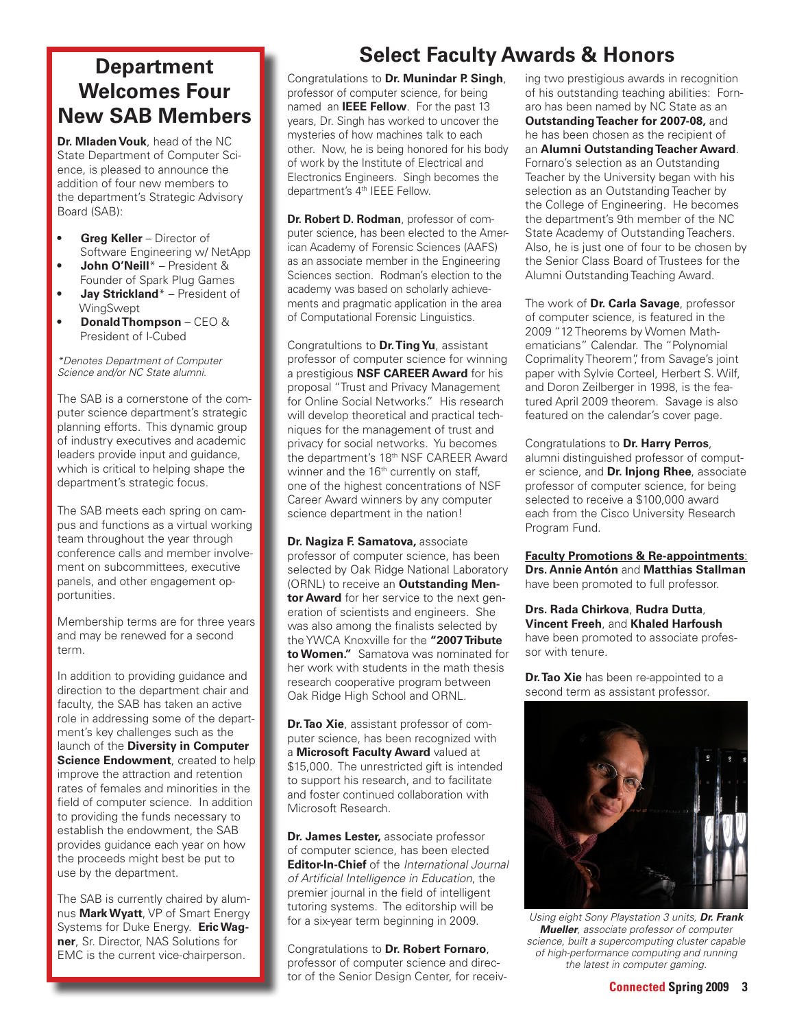#### **Department Welcomes Four New SAB Members**

**Dr. Mladen Vouk**, head of the NC State Department of Computer Science, is pleased to announce the addition of four new members to the department's Strategic Advisory Board (SAB):

- **• Greg Keller** Director of Software Engineering w/ NetApp
- **• John O'Neill**\* President & Founder of Spark Plug Games
- **• Jay Strickland**\* President of **WingSwept**
- **• Donald Thompson** CEO & President of I-Cubed

*\*Denotes Department of Computer Science and/or NC State alumni.*

The SAB is a cornerstone of the computer science department's strategic planning efforts. This dynamic group of industry executives and academic leaders provide input and guidance, which is critical to helping shape the department's strategic focus.

The SAB meets each spring on campus and functions as a virtual working team throughout the year through conference calls and member involvement on subcommittees, executive panels, and other engagement opportunities.

Membership terms are for three years and may be renewed for a second term.

In addition to providing guidance and direction to the department chair and faculty, the SAB has taken an active role in addressing some of the department's key challenges such as the launch of the **Diversity in Computer Science Endowment**, created to help improve the attraction and retention rates of females and minorities in the field of computer science. In addition to providing the funds necessary to establish the endowment, the SAB provides guidance each year on how the proceeds might best be put to use by the department.

The SAB is currently chaired by alumnus **Mark Wyatt**, VP of Smart Energy Systems for Duke Energy. **Eric Wagner**, Sr. Director, NAS Solutions for EMC is the current vice-chairperson.

## **Select Faculty Awards & Honors**

Congratulations to **Dr. Munindar P. Singh**, professor of computer science, for being named an **IEEE Fellow**. For the past 13 years, Dr. Singh has worked to uncover the mysteries of how machines talk to each other. Now, he is being honored for his body of work by the Institute of Electrical and Electronics Engineers. Singh becomes the department's 4<sup>th</sup> IEEE Fellow.

**Dr. Robert D. Rodman**, professor of computer science, has been elected to the American Academy of Forensic Sciences (AAFS) as an associate member in the Engineering Sciences section. Rodman's election to the academy was based on scholarly achievements and pragmatic application in the area of Computational Forensic Linguistics.

Congratultions to **Dr. Ting Yu**, assistant professor of computer science for winning a prestigious **NSF CAREER Award** for his proposal "Trust and Privacy Management for Online Social Networks." His research will develop theoretical and practical techniques for the management of trust and privacy for social networks. Yu becomes the department's 18<sup>th</sup> NSF CAREER Award winner and the 16<sup>th</sup> currently on staff. one of the highest concentrations of NSF Career Award winners by any computer science department in the nation!

**Dr. Nagiza F. Samatova, associate** professor of computer science, has been selected by Oak Ridge National Laboratory (ORNL) to receive an **Outstanding Mentor Award** for her service to the next generation of scientists and engineers. She was also among the finalists selected by the YWCA Knoxville for the **"2007 Tribute to Women."** Samatova was nominated for her work with students in the math thesis research cooperative program between Oak Ridge High School and ORNL.

**Dr. Tao Xie**, assistant professor of computer science, has been recognized with a **Microsoft Faculty Award** valued at \$15,000. The unrestricted gift is intended to support his research, and to facilitate and foster continued collaboration with Microsoft Research.

**Dr. James Lester,** associate professor of computer science, has been elected **Editor-In-Chief** of the *International Journal of Artificial Intelligence in Education*, the premier journal in the field of intelligent tutoring systems. The editorship will be for a six-year term beginning in 2009.

Congratulations to **Dr. Robert Fornaro**, professor of computer science and director of the Senior Design Center, for receiving two prestigious awards in recognition of his outstanding teaching abilities: Fornaro has been named by NC State as an **Outstanding Teacher for 2007-08,** and he has been chosen as the recipient of an **Alumni Outstanding Teacher Award**. Fornaro's selection as an Outstanding Teacher by the University began with his selection as an Outstanding Teacher by the College of Engineering. He becomes the department's 9th member of the NC State Academy of Outstanding Teachers. Also, he is just one of four to be chosen by the Senior Class Board of Trustees for the Alumni Outstanding Teaching Award.

The work of **Dr. Carla Savage**, professor of computer science, is featured in the 2009 "12 Theorems by Women Mathematicians" Calendar. The "Polynomial Coprimality Theorem", from Savage's joint paper with Sylvie Corteel, Herbert S. Wilf, and Doron Zeilberger in 1998, is the featured April 2009 theorem. Savage is also featured on the calendar's cover page.

Congratulations to **Dr. Harry Perros**, alumni distinguished professor of computer science, and **Dr. Injong Rhee**, associate professor of computer science, for being selected to receive a \$100,000 award each from the Cisco University Research Program Fund.

**Faculty Promotions & Re-appointments**: **Drs. Annie Antón** and **Matthias Stallman**  have been promoted to full professor.

**Drs. Rada Chirkova**, **Rudra Dutta**, **Vincent Freeh**, and **Khaled Harfoush** have been promoted to associate professor with tenure.

**Dr. Tao Xie** has been re-appointed to a second term as assistant professor.



*Using eight Sony Playstation 3 units, Dr. Frank Mueller, associate professor of computer science, built a supercomputing cluster capable of high-performance computing and running the latest in computer gaming.*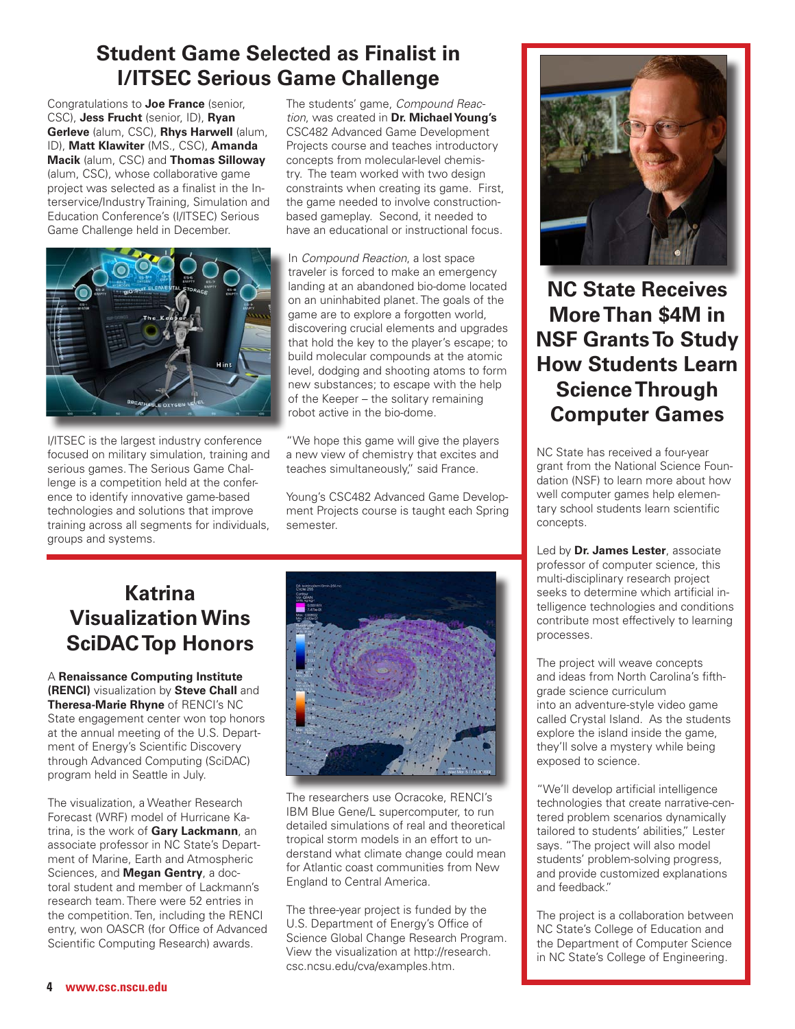## **Student Game Selected as Finalist in I/ITSEC Serious Game Challenge**

Congratulations to **Joe France** (senior, CSC), **Jess Frucht** (senior, ID), **Ryan Gerleve** (alum, CSC), **Rhys Harwell** (alum, ID), **Matt Klawiter** (MS., CSC), **Amanda Macik** (alum, CSC) and **Thomas Silloway** (alum, CSC), whose collaborative game project was selected as a finalist in the Interservice/Industry Training, Simulation and Education Conference's (I/ITSEC) Serious Game Challenge held in December.



I/ITSEC is the largest industry conference focused on military simulation, training and serious games. The Serious Game Challenge is a competition held at the conference to identify innovative game-based technologies and solutions that improve training across all segments for individuals, groups and systems.

The students' game, *Compound Reaction*, was created in **Dr. Michael Young's** CSC482 Advanced Game Development Projects course and teaches introductory concepts from molecular-level chemistry. The team worked with two design constraints when creating its game. First, the game needed to involve constructionbased gameplay. Second, it needed to have an educational or instructional focus.

In *Compound Reaction*, a lost space traveler is forced to make an emergency landing at an abandoned bio-dome located on an uninhabited planet. The goals of the game are to explore a forgotten world, discovering crucial elements and upgrades that hold the key to the player's escape; to build molecular compounds at the atomic level, dodging and shooting atoms to form new substances; to escape with the help of the Keeper – the solitary remaining robot active in the bio-dome.

"We hope this game will give the players a new view of chemistry that excites and teaches simultaneously," said France.

Young's CSC482 Advanced Game Development Projects course is taught each Spring semester.

### **Katrina Visualization Wins SciDAC Top Honors**

A **Renaissance Computing Institute (RENCI)** visualization by **Steve Chall** and **Theresa-Marie Rhyne** of RENCI's NC State engagement center won top honors at the annual meeting of the U.S. Department of Energy's Scientific Discovery through Advanced Computing (SciDAC) program held in Seattle in July.

The visualization, a Weather Research Forecast (WRF) model of Hurricane Katrina, is the work of **Gary Lackmann**, an associate professor in NC State's Department of Marine, Earth and Atmospheric Sciences, and **Megan Gentry**, a doctoral student and member of Lackmann's research team. There were 52 entries in the competition. Ten, including the RENCI entry, won OASCR (for Office of Advanced Scientific Computing Research) awards.



The researchers use Ocracoke, RENCI's IBM Blue Gene/L supercomputer, to run detailed simulations of real and theoretical tropical storm models in an effort to understand what climate change could mean for Atlantic coast communities from New England to Central America.

The three-year project is funded by the U.S. Department of Energy's Office of Science Global Change Research Program. View the visualization at http://research. csc.ncsu.edu/cva/examples.htm.



**NC State Receives More Than \$4M in NSF Grants To Study How Students Learn Science Through Computer Games**

NC State has received a four-year grant from the National Science Foundation (NSF) to learn more about how well computer games help elementary school students learn scientific concepts.

Led by **Dr. James Lester**, associate professor of computer science, this multi-disciplinary research project seeks to determine which artificial intelligence technologies and conditions contribute most effectively to learning processes.

The project will weave concepts and ideas from North Carolina's fifthgrade science curriculum into an adventure-style video game called Crystal Island. As the students explore the island inside the game, they'll solve a mystery while being exposed to science.

"We'll develop artificial intelligence technologies that create narrative-centered problem scenarios dynamically tailored to students' abilities," Lester says. "The project will also model students' problem-solving progress, and provide customized explanations and feedback."

The project is a collaboration between NC State's College of Education and the Department of Computer Science in NC State's College of Engineering.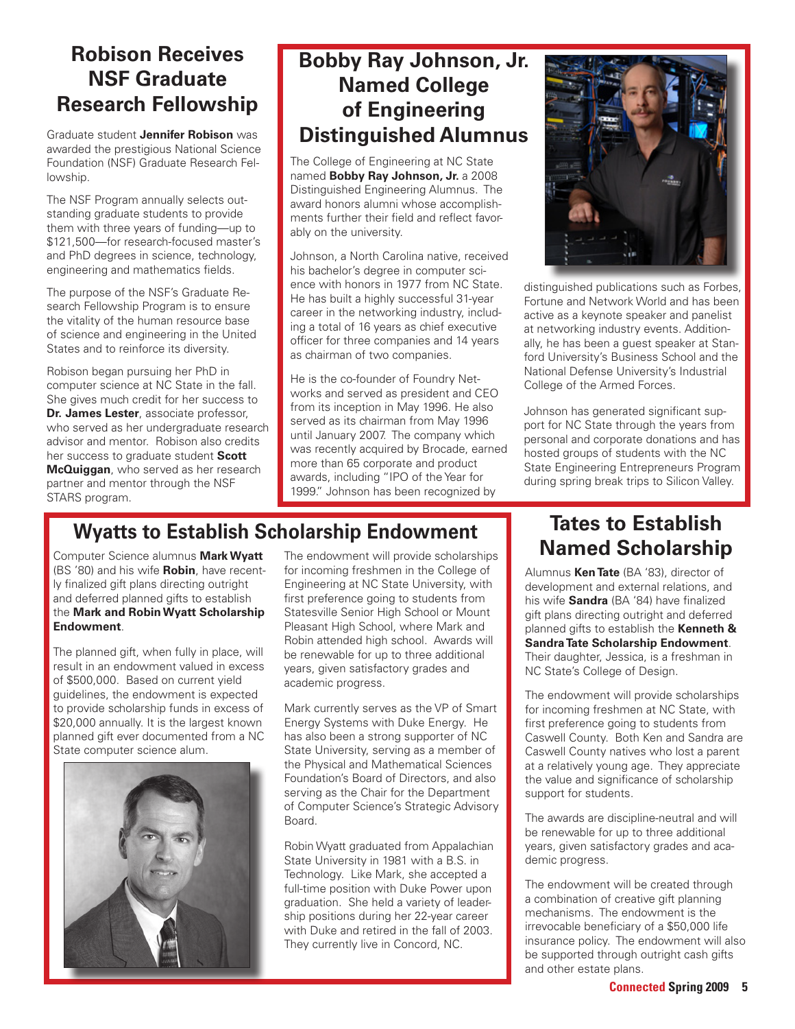#### **Robison Receives NSF Graduate Research Fellowship**

Graduate student **Jennifer Robison** was awarded the prestigious National Science Foundation (NSF) Graduate Research Fellowship.

The NSF Program annually selects outstanding graduate students to provide them with three years of funding—up to \$121,500—for research-focused master's and PhD degrees in science, technology, engineering and mathematics fields.

The purpose of the NSF's Graduate Research Fellowship Program is to ensure the vitality of the human resource base of science and engineering in the United States and to reinforce its diversity.

Robison began pursuing her PhD in computer science at NC State in the fall. She gives much credit for her success to **Dr. James Lester**, associate professor, who served as her undergraduate research advisor and mentor. Robison also credits her success to graduate student **Scott McQuiggan**, who served as her research partner and mentor through the NSF STARS program.

## **Bobby Ray Johnson, Jr. Named College of Engineering Distinguished Alumnus**

The College of Engineering at NC State named **Bobby Ray Johnson, Jr.** a 2008 Distinguished Engineering Alumnus. The award honors alumni whose accomplishments further their field and reflect favorably on the university.

Johnson, a North Carolina native, received his bachelor's degree in computer science with honors in 1977 from NC State. He has built a highly successful 31-year career in the networking industry, including a total of 16 years as chief executive officer for three companies and 14 years as chairman of two companies.

He is the co-founder of Foundry Networks and served as president and CEO from its inception in May 1996. He also served as its chairman from May 1996 until January 2007. The company which was recently acquired by Brocade, earned more than 65 corporate and product awards, including "IPO of the Year for 1999." Johnson has been recognized by



distinguished publications such as Forbes, Fortune and Network World and has been active as a keynote speaker and panelist at networking industry events. Additionally, he has been a guest speaker at Stanford University's Business School and the National Defense University's Industrial College of the Armed Forces.

Johnson has generated significant support for NC State through the years from personal and corporate donations and has hosted groups of students with the NC State Engineering Entrepreneurs Program during spring break trips to Silicon Valley.

# **Wyatts to Establish Scholarship Endowment**

Computer Science alumnus **Mark Wyatt**  (BS '80) and his wife **Robin**, have recently finalized gift plans directing outright and deferred planned gifts to establish the **Mark and Robin Wyatt Scholarship Endowment**.

The planned gift, when fully in place, will result in an endowment valued in excess of \$500,000. Based on current yield guidelines, the endowment is expected to provide scholarship funds in excess of \$20,000 annually. It is the largest known planned gift ever documented from a NC State computer science alum.



The endowment will provide scholarships for incoming freshmen in the College of Engineering at NC State University, with first preference going to students from Statesville Senior High School or Mount Pleasant High School, where Mark and Robin attended high school. Awards will be renewable for up to three additional years, given satisfactory grades and academic progress.

Mark currently serves as the VP of Smart Energy Systems with Duke Energy. He has also been a strong supporter of NC State University, serving as a member of the Physical and Mathematical Sciences Foundation's Board of Directors, and also serving as the Chair for the Department of Computer Science's Strategic Advisory Board.

Robin Wyatt graduated from Appalachian State University in 1981 with a B.S. in Technology. Like Mark, she accepted a full-time position with Duke Power upon graduation. She held a variety of leadership positions during her 22-year career with Duke and retired in the fall of 2003. They currently live in Concord, NC.

## **Tates to Establish Named Scholarship**

Alumnus **Ken Tate** (BA '83), director of development and external relations, and his wife **Sandra** (BA '84) have finalized gift plans directing outright and deferred planned gifts to establish the **Kenneth & Sandra Tate Scholarship Endowment**. Their daughter, Jessica, is a freshman in NC State's College of Design.

The endowment will provide scholarships for incoming freshmen at NC State, with first preference going to students from Caswell County. Both Ken and Sandra are Caswell County natives who lost a parent at a relatively young age. They appreciate the value and significance of scholarship support for students.

The awards are discipline-neutral and will be renewable for up to three additional years, given satisfactory grades and academic progress.

The endowment will be created through a combination of creative gift planning mechanisms. The endowment is the irrevocable beneficiary of a \$50,000 life insurance policy. The endowment will also be supported through outright cash gifts and other estate plans.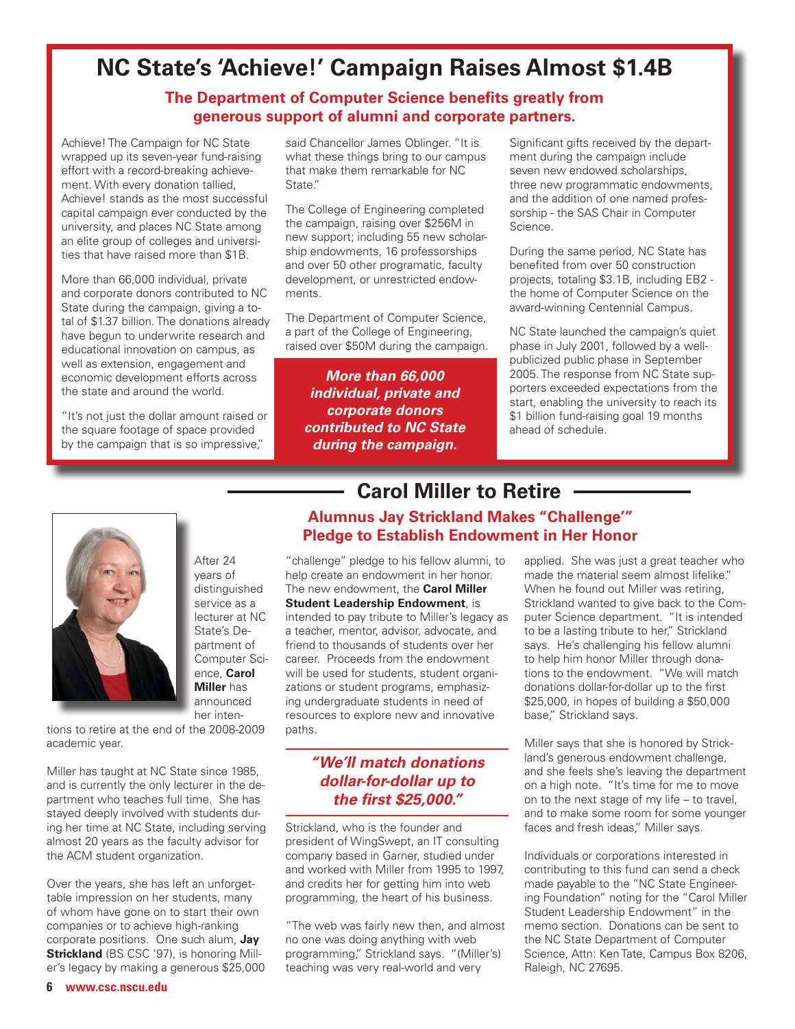## **NC State's 'Achieve!' Campaign Raises Almost \$1.4B**

#### **The Department of Computer Science benefits greatly from generous support of alumni and corporate partners.**

Achieve! The Campaign for NC State wrapped up its seven-year fund-raising effort with a record-breaking achievement. With every donation tallied, Achieve! stands as the most successful capital campaign ever conducted by the university, and places NC State among an elite group of colleges and universities that have raised more than \$1B.

More than 66,000 individual, private and corporate donors contributed to NC State during the campaign, giving a total of \$1.37 billion. The donations already have begun to underwrite research and educational innovation on campus, as well as extension, engagement and economic development efforts across the state and around the world.

"It's not just the dollar amount raised or the square footage of space provided by the campaign that is so impressive,"

said Chancellor James Oblinger. "It is what these things bring to our campus that make them remarkable for NC State."

The College of Engineering completed the campaign, raising over \$256M in new support; including 55 new scholarship endowments, 16 professorships and over 50 other programatic, faculty development, or unrestricted endowments.

The Department of Computer Science, a part of the College of Engineering, raised over \$50M during the campaign.

*More than 66,000 individual, private and corporate donors contributed to NC State during the campaign.*

Significant gifts received by the department during the campaign include seven new endowed scholarships, three new programmatic endowments, and the addition of one named professorship - the SAS Chair in Computer Science.

During the same period, NC State has benefited from over 50 construction projects, totaling \$3.1B, including EB2 the home of Computer Science on the award-winning Centennial Campus.

NC State launched the campaign's quiet phase in July 2001, followed by a wellpublicized public phase in September 2005. The response from NC State supporters exceeded expectations from the start, enabling the university to reach its \$1 billion fund-raising goal 19 months ahead of schedule.



After 24 years of distinguished service as a lecturer at NC State's Department of Computer Science, **Carol Miller** has announced her inten-

tions to retire at the end of the 2008-2009 academic year.

Miller has taught at NC State since 1985, and is currently the only lecturer in the department who teaches full time. She has stayed deeply involved with students during her time at NC State, including serving almost 20 years as the faculty advisor for the ACM student organization.

Over the years, she has left an unforgettable impression on her students, many of whom have gone on to start their own companies or to achieve high-ranking corporate positions. One such alum, **Jay Strickland** (BS CSC '97), is honoring Miller's legacy by making a generous \$25,000

#### **Carol Miller to Retire Alumnus Jay Strickland Makes "Challenge'" Pledge to Establish Endowment in Her Honor**

"challenge" pledge to his fellow alumni, to help create an endowment in her honor. The new endowment, the **Carol Miller Student Leadership Endowment**, is intended to pay tribute to Miller's legacy as a teacher, mentor, advisor, advocate, and friend to thousands of students over her career. Proceeds from the endowment will be used for students, student organizations or student programs, emphasizing undergraduate students in need of resources to explore new and innovative paths.

#### *"We'll match donations dollar-for-dollar up to the first \$25,000."*

Strickland, who is the founder and president of WingSwept, an IT consulting company based in Garner, studied under and worked with Miller from 1995 to 1997, and credits her for getting him into web programming, the heart of his business.

"The web was fairly new then, and almost no one was doing anything with web programming," Strickland says. "(Miller's) teaching was very real-world and very

applied. She was just a great teacher who made the material seem almost lifelike." When he found out Miller was retiring, Strickland wanted to give back to the Computer Science department. "It is intended to be a lasting tribute to her." Strickland says. He's challenging his fellow alumni to help him honor Miller through donations to the endowment. "We will match donations dollar-for-dollar up to the first \$25,000, in hopes of building a \$50,000 base," Strickland says.

Miller says that she is honored by Strickland's generous endowment challenge, and she feels she's leaving the department on a high note. "It's time for me to move on to the next stage of my life – to travel, and to make some room for some younger faces and fresh ideas," Miller says.

Individuals or corporations interested in contributing to this fund can send a check made payable to the "NC State Engineering Foundation" noting for the "Carol Miller Student Leadership Endowment" in the memo section. Donations can be sent to the NC State Department of Computer Science, Attn: Ken Tate, Campus Box 8206, Raleigh, NC 27695.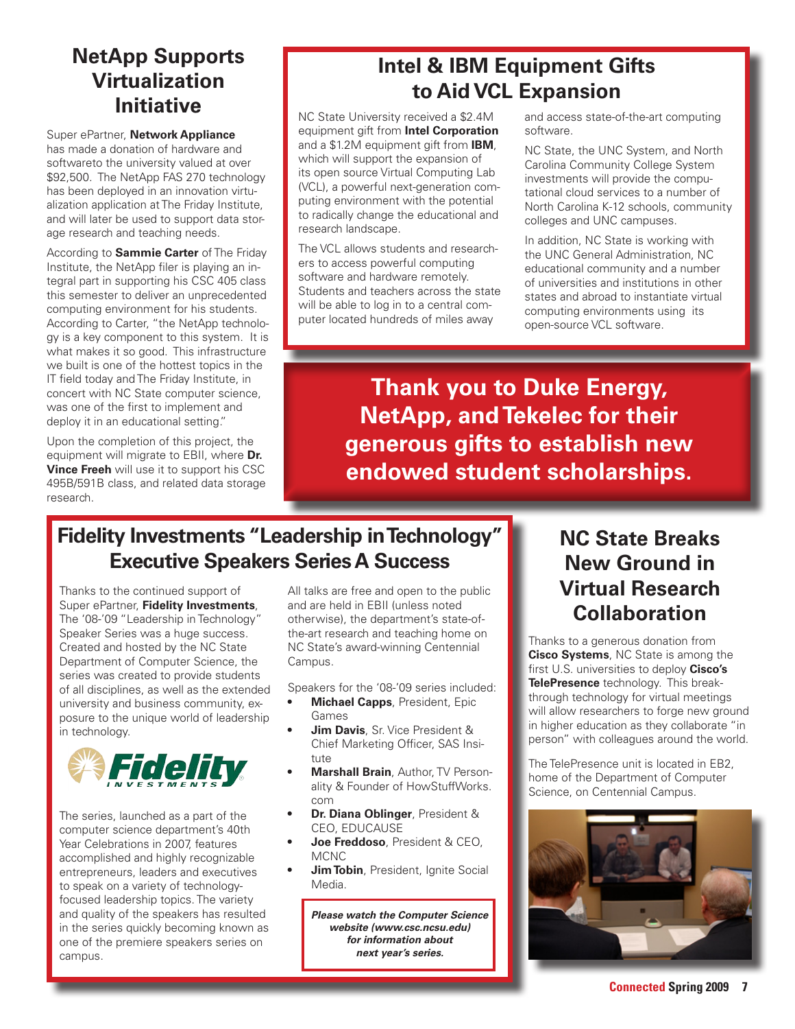## **NetApp Supports Virtualization Initiative** NC State University received a \$2.4M

Super ePartner, **Network Appliance** has made a donation of hardware and softwareto the university valued at over \$92,500. The NetApp FAS 270 technology has been deployed in an innovation virtualization application at The Friday Institute, and will later be used to support data storage research and teaching needs.

According to **Sammie Carter** of The Friday Institute, the NetApp filer is playing an integral part in supporting his CSC 405 class this semester to deliver an unprecedented computing environment for his students. According to Carter, "the NetApp technology is a key component to this system. It is what makes it so good. This infrastructure we built is one of the hottest topics in the IT field today and The Friday Institute, in concert with NC State computer science, was one of the first to implement and deploy it in an educational setting."

Upon the completion of this project, the equipment will migrate to EBII, where **Dr. Vince Freeh** will use it to support his CSC 495B/591B class, and related data storage research.

## **Intel & IBM Equipment Gifts to Aid VCL Expansion**

equipment gift from **Intel Corporation** and a \$1.2M equipment gift from **IBM**, which will support the expansion of its open source Virtual Computing Lab (VCL), a powerful next-generation computing environment with the potential to radically change the educational and research landscape.

The VCL allows students and researchers to access powerful computing software and hardware remotely. Students and teachers across the state will be able to log in to a central computer located hundreds of miles away

and access state-of-the-art computing software.

NC State, the UNC System, and North Carolina Community College System investments will provide the computational cloud services to a number of North Carolina K-12 schools, community colleges and UNC campuses.

In addition, NC State is working with the UNC General Administration, NC educational community and a number of universities and institutions in other states and abroad to instantiate virtual computing environments using its open-source VCL software.

**Thank you to Duke Energy, NetApp, and Tekelec for their generous gifts to establish new endowed student scholarships.**

#### **Fidelity Investments "Leadership in Technology" Executive Speakers Series A Success**

Thanks to the continued support of Super ePartner, **Fidelity Investments**, The '08-'09 "Leadership in Technology" Speaker Series was a huge success. Created and hosted by the NC State Department of Computer Science, the series was created to provide students of all disciplines, as well as the extended university and business community, exposure to the unique world of leadership in technology.



The series, launched as a part of the computer science department's 40th Year Celebrations in 2007, features accomplished and highly recognizable entrepreneurs, leaders and executives to speak on a variety of technologyfocused leadership topics. The variety and quality of the speakers has resulted in the series quickly becoming known as one of the premiere speakers series on campus.

All talks are free and open to the public and are held in EBII (unless noted otherwise), the department's state-ofthe-art research and teaching home on NC State's award-winning Centennial Campus.

Speakers for the '08-'09 series included:

- **Michael Capps**, President, Epic Games
- **Jim Davis**, Sr. Vice President & Chief Marketing Officer, SAS Insitute
- **• Marshall Brain**, Author, TV Personality & Founder of HowStuffWorks. com
- **Dr. Diana Oblinger**, President & CEO, EDUCAUSE
- **Joe Freddoso**, President & CEO, MCNC
- **Jim Tobin**, President, Ignite Social Media.

*Please watch the Computer Science website (www.csc.ncsu.edu) for information about next year's series.*

#### **NC State Breaks New Ground in Virtual Research Collaboration**

Thanks to a generous donation from **Cisco Systems**, NC State is among the first U.S. universities to deploy **Cisco's TelePresence** technology. This breakthrough technology for virtual meetings will allow researchers to forge new ground in higher education as they collaborate "in person" with colleagues around the world.

The TelePresence unit is located in EB2, home of the Department of Computer Science, on Centennial Campus.